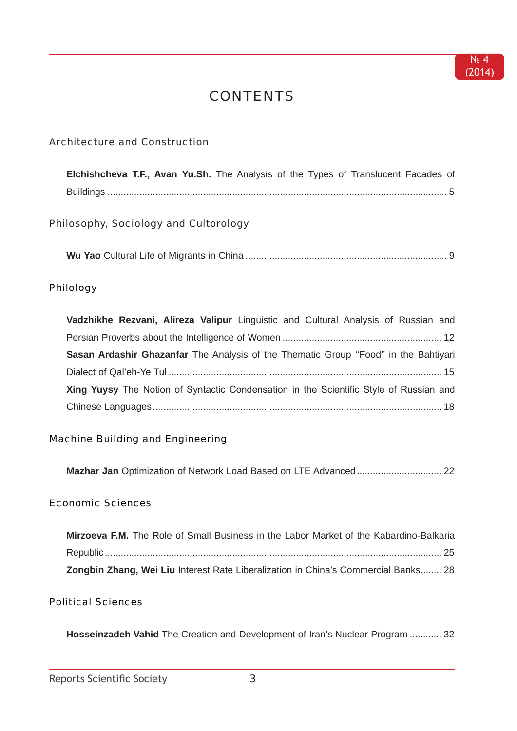$Ne4$  $(2014)$ 

# **CONTENTS**

# **Architecture and Construction**

| Elchishcheva T.F., Avan Yu.Sh. The Analysis of the Types of Translucent Facades of |  |  |  |  |  |  |
|------------------------------------------------------------------------------------|--|--|--|--|--|--|
|                                                                                    |  |  |  |  |  |  |

# Philosophy, Sociology and Cultorology

### Philology

| Vadzhikhe Rezvani, Alireza Valipur Linguistic and Cultural Analysis of Russian and     |
|----------------------------------------------------------------------------------------|
|                                                                                        |
| Sasan Ardashir Ghazanfar The Analysis of the Thematic Group "Food" in the Bahtiyari    |
|                                                                                        |
| Xing Yuysy The Notion of Syntactic Condensation in the Scientific Style of Russian and |
|                                                                                        |

### **Machine Building and Engineering**

# **Economic Sciences**

| Mirzoeva F.M. The Role of Small Business in the Labor Market of the Kabardino-Balkaria |  |
|----------------------------------------------------------------------------------------|--|
|                                                                                        |  |
| Zongbin Zhang, Wei Liu Interest Rate Liberalization in China's Commercial Banks 28     |  |

## **Political Sciences**

Hosseinzadeh Vahid The Creation and Development of Iran's Nuclear Program ............ 32